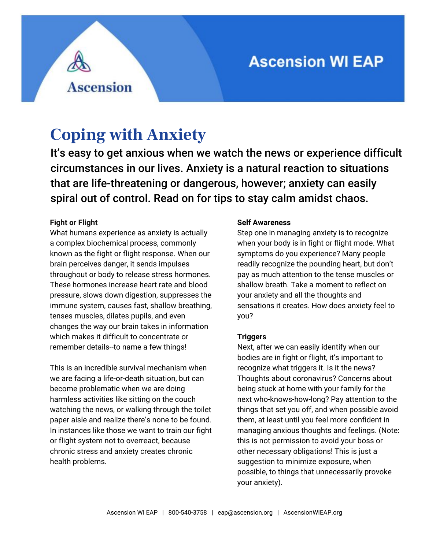# **Ascension WI EAP**

# **Coping with Anxiety**

**Ascension** 

It's easy to get anxious when we watch the news or experience difficult circumstances in our lives. Anxiety is a natural reaction to situations that are life-threatening or dangerous, however; anxiety can easily spiral out of control. Read on for tips to stay calm amidst chaos.

### **Fight or Flight**

What humans experience as anxiety is actually a complex biochemical process, commonly known as the fight or flight response. When our brain perceives danger, it sends impulses throughout or body to release stress hormones. These hormones increase heart rate and blood pressure, slows down digestion, suppresses the immune system, causes fast, shallow breathing, tenses muscles, dilates pupils, and even changes the way our brain takes in information which makes it difficult to concentrate or remember details--to name a few things!

This is an incredible survival mechanism when we are facing a life-or-death situation, but can become problematic when we are doing harmless activities like sitting on the couch watching the news, or walking through the toilet paper aisle and realize there's none to be found. In instances like those we want to train our fight or flight system not to overreact, because chronic stress and anxiety creates chronic health problems.

#### **Self Awareness**

Step one in managing anxiety is to recognize when your body is in fight or flight mode. What symptoms do you experience? Many people readily recognize the pounding heart, but don't pay as much attention to the tense muscles or shallow breath. Take a moment to reflect on your anxiety and all the thoughts and sensations it creates. How does anxiety feel to you?

## **Triggers**

Next, after we can easily identify when our bodies are in fight or flight, it's important to recognize what triggers it. Is it the news? Thoughts about coronavirus? Concerns about being stuck at home with your family for the next who-knows-how-long? Pay attention to the things that set you off, and when possible avoid them, at least until you feel more confident in managing anxious thoughts and feelings. (Note: this is not permission to avoid your boss or other necessary obligations! This is just a suggestion to minimize exposure, when possible, to things that unnecessarily provoke your anxiety).